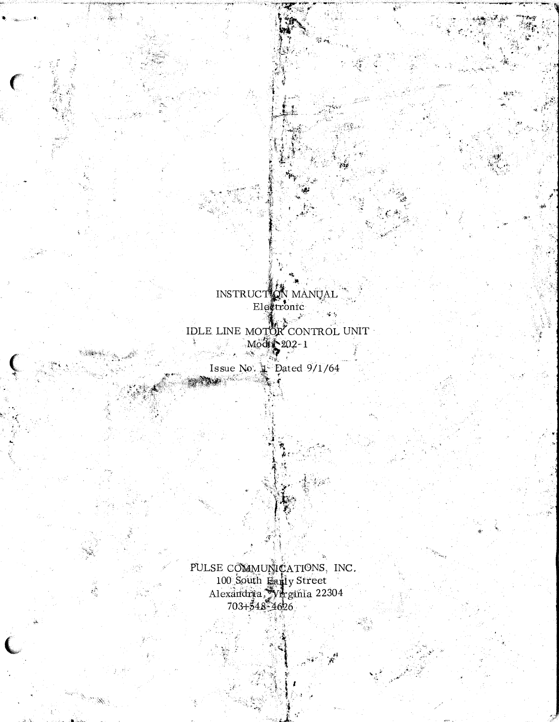INSTRUCT ON MANUAL  $\mathbf{I} = \mathbf{I}$ 

IDLE LINE MOTOR CONTROL UNIT

Issue No.  $\frac{1}{4}$  Dated 9/1/64

PULSE COMMUNICATIONS, INC.<br>100 South Early Street<br>Alexandria, Virginia 22304<br>703+548-4626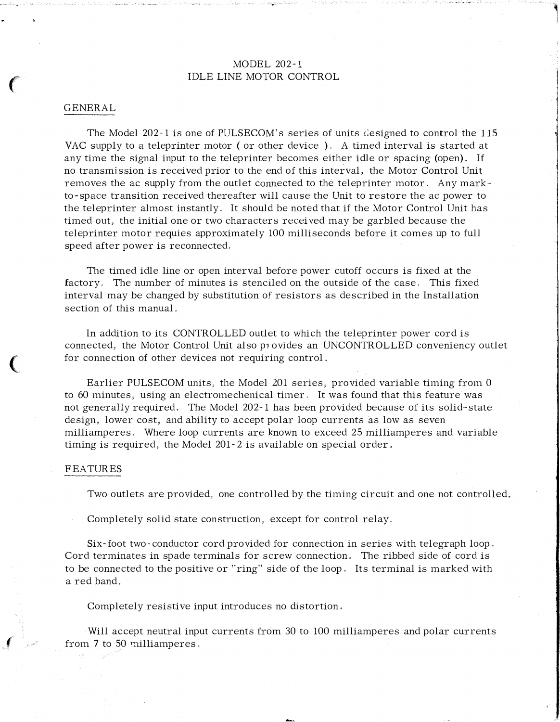# MODEL 202-1 IDLE LINE MOTOR CONTROL

1

#### GENERAL

The Model 202-1 is one of PULSECOM's series of units designed to control the 115 VAC supply to a teleprinter motor (or other device). A timed interval is started at any time the signal input to the teleprinter becomes either idle or spacing (open), If no transmission is received prior to the end of this interval, the Motor Control Unit removes the ac supply from the outlet cmmected to the teleprinter motor. Any markto-space transition received thereafter will cause the Unit to restore the ac power to the teleprinter almost instantly, It should be noted that if the Motor Control Unit has timed out, the initial one or two characters received may be garbled because the teleprinter motor requies approximately 100 milliseconds before it comes up to full speed after power is reconnected.

The timed idle line or open interval before power cutoff occurs is fixed at the factory. The number of minutes is stenciled on the outside of the case. This fixed interval may be changed by substitution of resistors as described in the Installation section of this manual.

In addition to its CONTROLLED outlet to which the teleprinter power cord is connected, the Motor Control Unit also p1 ovides an UNCONTROLLED conveniency outlet for connection of other devices not requiring control.

Earlier PULSECOM units, the Model 201 series, provided variable timing from 0 to 60 minutes, using an electromechenical timer. It was found that this feature was not generally required. The Model 202-1 has been provided because of its solid-state design, lower cost, and ability to accept polar loop currents as low as seven milliamperes. Where loop currents are known to exceed 25 milliamperes and variable timing is required, the Model 201-2 is available on special order.

#### FEATURES

 $\big($ 

 $\epsilon$ 

Two outlets are provided, one controlled by the timing circuit and one not controlled.

Completely solid state construction, except for control relay.

Six-foot two-conductor cord provided for connection in series with telegraph loop, Cord terminates in spade terminals for screw connection. The ribbed side of cord is to be connected to the positive or "ring" side of the loop. Its terminal is marked with a red band,

Completely resistive input introduces no distortion.

Will accept neutral input currents from 30 to 100 milliamperes and polar currents from 7 to 50 milliamperes.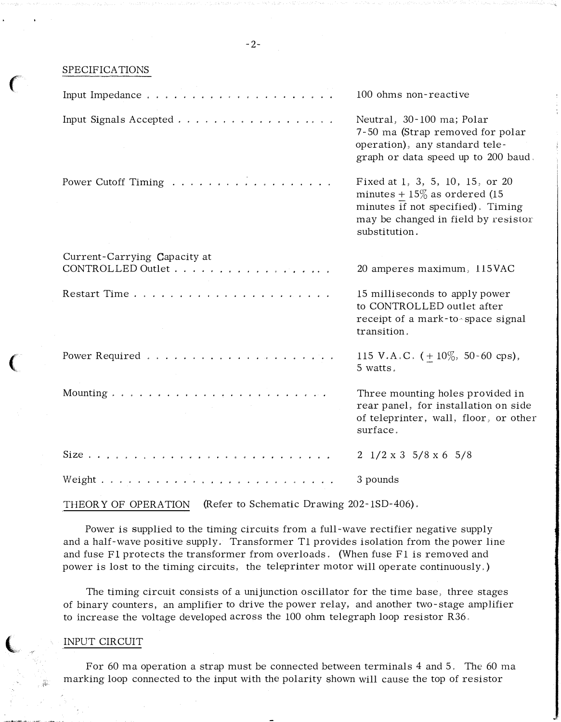SPECIFICATIONS

 $\mathcal{N}_{\text{max}}$ 

 $\big($ 

 $\overline{\mathbb{C}}$ 

|                                                   | 100 ohms non-reactive                                                                                                                                           |
|---------------------------------------------------|-----------------------------------------------------------------------------------------------------------------------------------------------------------------|
| Input Signals Accepted                            | Neutral, 30-100 ma; Polar<br>7-50 ma (Strap removed for polar<br>operation), any standard tele-<br>graph or data speed up to 200 baud.                          |
| Power Cutoff Timing                               | Fixed at 1, 3, 5, 10, 15, or 20<br>minutes + $15\%$ as ordered (15<br>minutes if not specified). Timing<br>may be changed in field by resistor<br>substitution. |
| Current-Carrying Capacity at<br>CONTROLLED Outlet | 20 amperes maximum, 115VAC                                                                                                                                      |
| Restart Time                                      | 15 milliseconds to apply power<br>to CONTROLLED outlet after<br>receipt of a mark-to-space signal<br>transition.                                                |
|                                                   | 115 V.A.C. $(+10\%$ , 50-60 cps),<br>5 watts.                                                                                                                   |
|                                                   | Three mounting holes provided in<br>rear panel, for installation on side<br>of teleprinter, wall, floor, or other<br>surface.                                   |
|                                                   | $2 \frac{1}{2} \times 3 \frac{5}{8} \times 6 \frac{5}{8}$                                                                                                       |
|                                                   | 3 pounds                                                                                                                                                        |

THEORY OF OPERATION (Refer to Schematic Drawing 202-1SD-406).

Power is supplied to the timing circuits from a full-wave rectifier negative supply and a half-wave positive supply. Transformer T1 provides isolation from the power line and fuse F1 protects the transformer from overloads. (When fuse F1 is removed and power is lost to the timing circuits, the teleprinter motor will operate continuously,)

The timing circuit consists of a unijunction oscillator for the time base, three stages of binary counters, an amplifier to drive the power relay, and another two-stage amplifier to increase the voltage developed across the 100 ohm telegraph loop resistor R36.

## INPUT CIRCUIT

For 60 ma operation a strap must be connected between terminals 4 and 5. The 60 ma marking loop connected to the input with the polarity shown will cause the top of resistor

-2-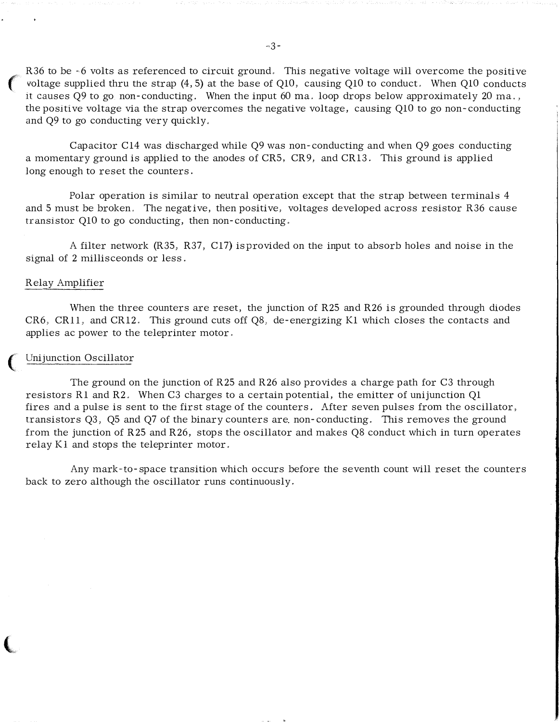R36 to be -6 volts as referenced to circuit ground. This negative voltage will overcome the positive voltage supplied thru the strap (4, 5) at the base of Q10, causing Q10 to conduct. When Q10 conducts it causes  $O9$  to go non-conducting. When the input 60 ma, loop drops below approximately 20 ma., the positive voltage via the strap overcomes the negative voltage, causing QlO to go non-conducting and Q9 to go conducting very quickly,

Capacitor Cl4 was discharged while Q9 was non-conducting and when Q9 goes conducting a momentary ground is applied to the anodes of CRS, CR9, and CR13. This ground is applied long enough to reset the counters.

Polar operation is similar to neutral operation except that the strap between terminals 4 and 5 must be broken. The negative, then positive, voltages developed across resistor R36 cause transistor QlO to go conducting, then non-conducting.

A filter network (R35, R37, Cl7) isprovided on the input to absorb holes and noise in the signal of 2 millisceonds or less.

## Relay Amplifier

 $\mathbf{C}$ 

(,

When the three counters are reset, the junction of R25 and R26 is grounded through diodes CR6, CR11, and CR12. This ground cuts off Q8, de-energizing K1 which closes the contacts and applies ac power to the teleprinter motor.

## Unijunction Oscillator

The ground on the junction of R25 and R26 also provides a charge path for C3 through resistors Rl and R2. When C3 charges to a certain potential, the emitter of unijunction Ql fires and a pulse is sent to the first stage of the counters. After seven pulses from the oscillator, transistors Q3, QS and Q7 of the binary counters are non-conducting. This removes the ground from the junction of R25 and R26, stops the oscillator and makes Q8 conduct which in turn operates relay K1 and stops the teleprinter motor.

Any mark-to-space transition which occurs before the seventh count will reset the counters back to zero although the oscillator runs continuously.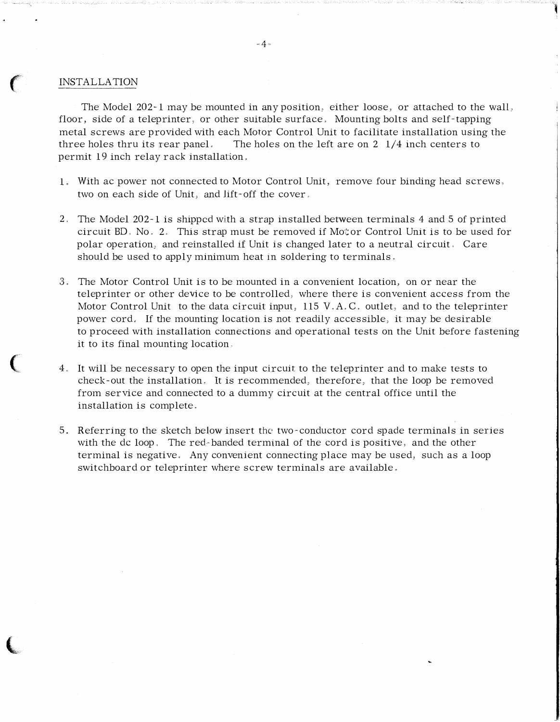#### INSTALLATION

 $\big($ 

 $\big($ 

 $\big($ 

The Model 202- 1 may be mounted in any position, either loose, or attached to the wall, floor, side of a teleprinter, or other suitable surface. Mounting bolts and self-tapping metal screws are provided with each Motor Control Unit to facilitate installation using the three holes thru its rear panel. The holes on the left are on  $2 \frac{1}{4}$  inch centers to permit 19 inch relay rack installation,

1

- 1, With ac power not connected to Motor Control Unit, remove four binding head screws, two on each side of Unit, and lift-off the cover,
- 2. The Model 202-1 is shipped with a strap installed between terminals 4 and 5 of printed circuit BD, No, 2, This strap must be removed if Motor Control Unit is to be used for polar operation, and reinstalled if Unit is changed later to a neutral circuit, Care should be used to apply minimum heat in soldering to terminals.
- 3. The Motor Control Unit is to be mounted in a convenient location, on or near the teleprinter or other device to be controlled, where there is convenient access from the Motor Control Unit to the data circuit input, 115 V,  $A, C$ , outlet, and to the teleprinter power cord. If the mounting location is not readily accessible, it may be desirable to proceed with installation connections and operational tests on the Unit before fastening it to its final mounting location,
- 4. It will be necessary to open the input circuit to the teleprinter and to make tests to check-out the installation, It is recommended, therefore, that the loop be removed from service and connected to a dummy circuit at the central office until the installation is complete.
- 5. Referring to the sketch below insert the two-conductor cord spade terminals in series with the de loop. The red-banded terminal of the cord is positive, and the other terminal is negative. Any convenient connecting place may be used, such as a loop switchboard or teleprinter where screw terminals are available,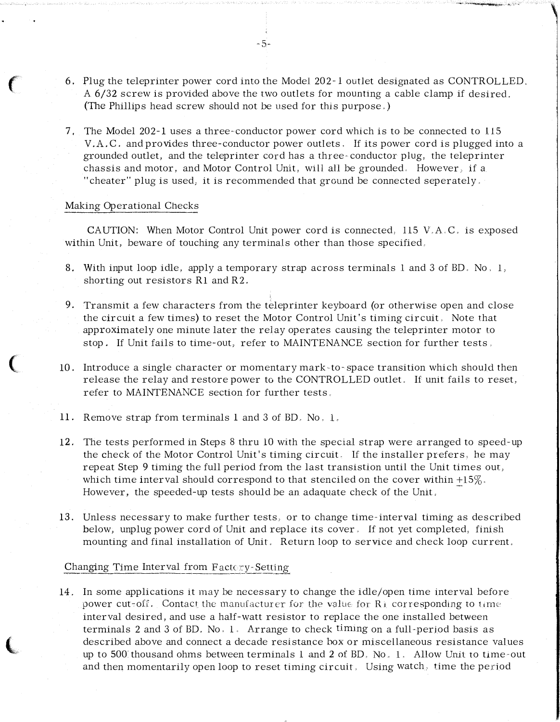6. Plug the teleprinter power cord into the Model 202-1 outlet designated as CONTROLLED, <sup>A</sup>6/32 screw is provided above the two outlets for mounting a cable clamp if desired. (The Phillips head screw should not be used for this purpose,)

-5-

,;\_,\_,.�!'til"

7, The Model 202-1 uses a three- conductor power cord which is to be connected to 115 V.A.C. and provides three-conductor power outlets. If its power cord is plugged into a grounded outlet, and the teleprinter cord has a three- conductor plug, the teleprinter chassis and motor, and Motor Control Unit, will all be grounded. However, if a "cheater" plug is used, it is recommended that ground be connected seperately,

## Making Operational Checks

 $\epsilon$ 

 $\big($ 

 $\overline{\mathbf{C}}$ 

CAUTION: When Motor Control Unit power cord is connected, ll5 V,A,C, is exposed within Unit, beware of touching any terminals other than those specified.

- 8. With input loop idle, apply a temporary strap across terminals 1 and 3 of BD. No, I, shorting out resistors Rl and R2.
- 9. Transmit a few characters from the teleprinter keyboard (or otherwise open and close the circuit a few times) to reset the Motor Control Unit's timing circuit, Note that approximately one minute later the relay operates causing the teleprinter motor to stop. If Unit fails to time-out, refer to MAINTENANCE section for further tests,
- 10. Introduce a single character or momentary mark· to- space transition which should then release the relay and restore power to the CONTROLLED outlet. If unit fails to reset, refer to MAINTENANCE section for further tests.
- 11. Remove strap from terminals 1 and 3 of BD, No. <sup>L</sup>
- 12. The tests performed in Steps 8 thru 10 with the special strap were arranged to speed-up the check of the Motor Control Unit's timing circuit. 1f the installer prefers, be may repeat Step 9 timing the full period from the last transistion until the Unit times our, which time interval should correspond to that stenciled on the cover within  $+15\%$ . However, the speeded-up tests should be an adaquate check of the Unit.
- 13. Unless necessary to make further tests, or to change time-interval timing as described below, unplug power cord of Unit and replace its cover, If not yet completed, finish mounting and final installation of Unit, Return loop to service and check loop current.

## Changing Time Interval from Factory-Setting

14. In some applications it may be necessary to change the idle/open time interval before power cut-off. Contact the manufacturer for the value for  $R<sub>1</sub>$  corresponding to time interval desired, and use a half-watt resistor to replace the one installed between terminals 2 and 3 of BD. No,  $1$ . Arrange to check timing on a full-period basis as described above and connect a decade resistance box or miscellaneous resistance values up to 500 thousand ohms between terminals  $1$  and  $2$  of BD, No,  $1$ , Allow Unit to time-out and then momentarily open loop to reset timing circuit, Using watch, time the period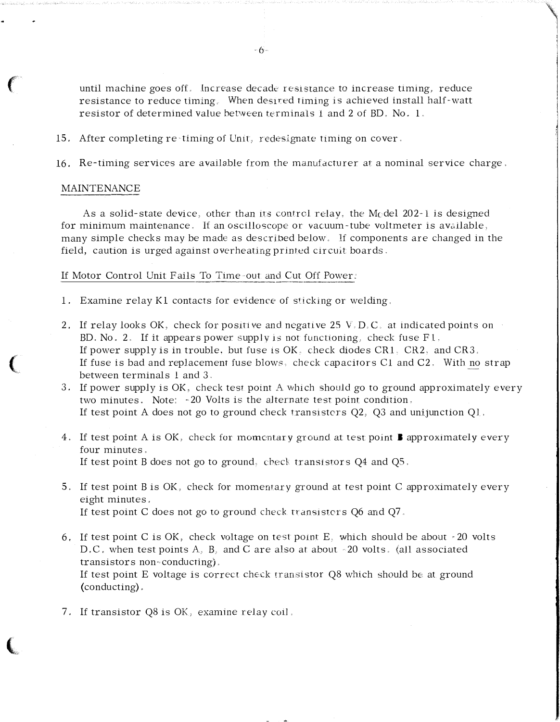until machine goes off. Increase decade resistance to increase timing, reduce resistance to reduce timing. When desired timing is achieved install half-watt resistor of determined value between terminals 1 and 2 of BD. No, 1.

- 15. After completing re-timing of Unit, redesignate timing on cover.
- 16. Re-timing services are available from the manufacturer at a nominal service charge.

#### MAINTENANCE

 $\epsilon$ 

(

 $\big($ 

As a solid-state device, other than its control relay, the M<sub>c</sub>del 202-1 is designed for minimum maintenance. If an oscilloscope or vacuum-tube voltmeter is available, many simple checks may be made as described below. lf components are changed in the field, caution is urged against overheating printed circuit boards.

## If Motor Control Unit Fails To Time-out and Cut Off Power:

- 1. Examine relay Kl contacts for evidence of sticking or welding.
- 2. If relay looks OK, check for positive and negative 25 V, D, C, at indicated points on BD. No. 2. If it appears power supply is not functioning, check fuse  $F1$ . If power supply is in trouble, but fuse is  $OK$ , check diodes  $CR1$ .  $CR2$ , and  $CR3$ . If fuse is bad and replacement fuse blows, check capacitors C1 and C2, With no strap between terminals l and 3.
- 3. If power supply is OK, check test point A which should go to ground approximately every two minutes. Note: -20 Volts is the alternate test point condition. If test point A does not go to ground check transistors  $Q2$ ,  $Q3$  and unijunction  $Q1$ .
- 4. If test point A is OK, check for momentary ground at test point **B** approximately every four minutes, If test point B does not go to ground, check transistors  $Q4$  and  $Q5$ .
- 5. If test point B is OK, check for momemary ground at test point C approximately every eight minutes, If test point C does not go to ground check transistors  $Q6$  and  $Q7$ .
- 6. If test point C is OK, check voltage on test point E, which should be about -20 volts D.C. when test points A, B, and C are also at about -20 volts. (all associated transistors non· conducting), If test point  $E$  voltage is correct check transistor  $Q8$  which should be at ground (conducting),
- 7, If transistor Q8 is OK, examine relay coil,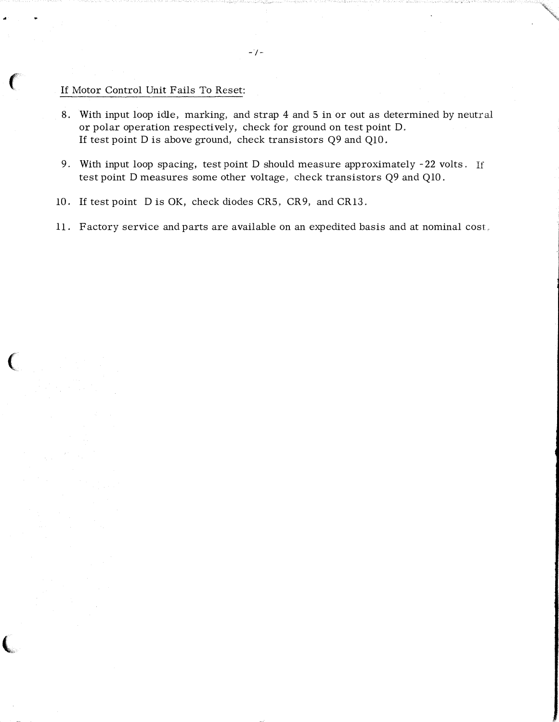# If Motor Control Unit Fails To Reset:

..

 $\big($ 

 $\big($ 

"

- 8. With input loop idle, marking, and strap 4 and 5 in or out as determined by neutral or polar operation respectively, check for ground on test point D. If test point D is above ground, check transistors Q9 and QlO.
- 9. With input loop spacing, test point D should measure approximately -22 volts. If test point D measures some other voltage, check transistors Q9 and QlO.
- 10. If test point Dis OK, check diodes CRS, CR9, and CR13.
- 11. Factory service and parts are available on an expedited basis and at nominal cost.